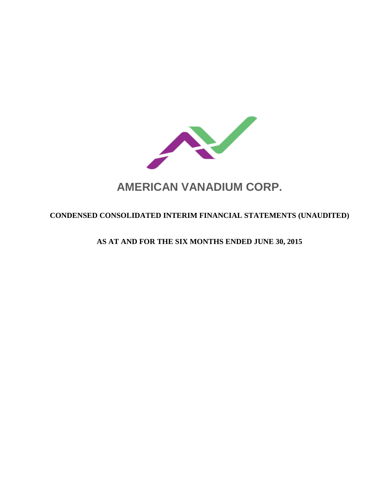

# **AMERICAN VANADIUM CORP.**

# **CONDENSED CONSOLIDATED INTERIM FINANCIAL STATEMENTS (UNAUDITED)**

**AS AT AND FOR THE SIX MONTHS ENDED JUNE 30, 2015**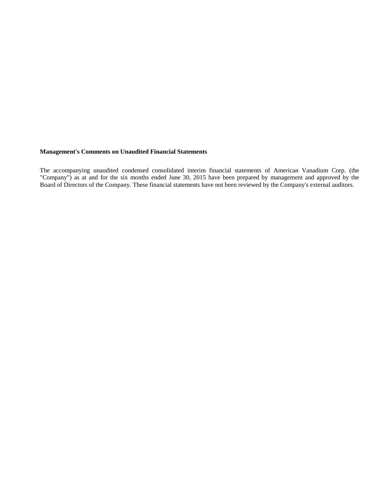#### **Management's Comments on Unaudited Financial Statements**

The accompanying unaudited condensed consolidated interim financial statements of American Vanadium Corp. (the "Company") as at and for the six months ended June 30, 2015 have been prepared by management and approved by the Board of Directors of the Company. These financial statements have not been reviewed by the Company's external auditors.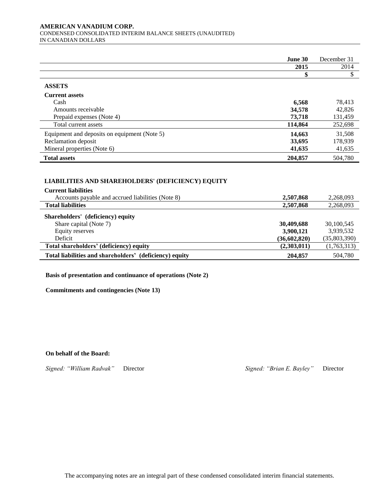#### **AMERICAN VANADIUM CORP.**  CONDENSED CONSOLIDATED INTERIM BALANCE SHEETS (UNAUDITED) IN CANADIAN DOLLARS

|                                              | June 30 | December 31 |
|----------------------------------------------|---------|-------------|
|                                              | 2015    | 2014        |
|                                              |         |             |
| <b>ASSETS</b>                                |         |             |
| <b>Current assets</b>                        |         |             |
| Cash                                         | 6,568   | 78,413      |
| Amounts receivable                           | 34,578  | 42,826      |
| Prepaid expenses (Note 4)                    | 73,718  | 131,459     |
| Total current assets                         | 114,864 | 252,698     |
| Equipment and deposits on equipment (Note 5) | 14,663  | 31,508      |
| Reclamation deposit                          | 33,695  | 178,939     |
| Mineral properties (Note 6)                  | 41,635  | 41,635      |
| <b>Total assets</b>                          | 204,857 | 504,780     |

# **LIABILITIES AND SHAREHOLDERS' (DEFICIENCY) EQUITY LIABILITIES AND SHAREHOLDERS' EQUITY**

| <b>Current liabilities</b>                              |                |              |
|---------------------------------------------------------|----------------|--------------|
| Accounts payable and accrued liabilities (Note 8)       | 2,507,868      | 2,268,093    |
| <b>Total liabilities</b>                                | 2,507,868      | 2,268,093    |
| Shareholders' (deficiency) equity                       |                |              |
| Share capital (Note 7)                                  | 30,409,688     | 30,100,545   |
| Equity reserves                                         | 3,900,121      | 3,939,532    |
| Deficit                                                 | (36, 602, 820) | (35,803,390) |
| Total shareholders' (deficiency) equity                 | (2,303,011)    | (1,763,313)  |
| Total liabilities and shareholders' (deficiency) equity | 204,857        | 504,780      |

**Basis of presentation and continuance of operations (Note 2)**

**Commitments and contingencies (Note 13)**

**On behalf of the Board:**

*Signed: "William Radvak"* Director *Signed: "Brian E. Bayley"* Director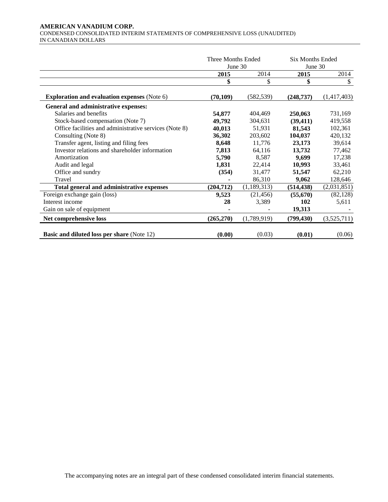#### **AMERICAN VANADIUM CORP.**  CONDENSED CONSOLIDATED INTERIM STATEMENTS OF COMPREHENSIVE LOSS (UNAUDITED) IN CANADIAN DOLLARS

|                                                        | Three Months Ended<br>June 30 |             | <b>Six Months Ended</b><br>June 30 |             |  |
|--------------------------------------------------------|-------------------------------|-------------|------------------------------------|-------------|--|
|                                                        | 2015                          | 2014        | 2015                               | 2014        |  |
|                                                        | \$                            | \$          | \$                                 | \$          |  |
| <b>Exploration and evaluation expenses (Note 6)</b>    | (70, 109)                     | (582, 539)  | (248, 737)                         | (1,417,403) |  |
| General and administrative expenses:                   |                               |             |                                    |             |  |
| Salaries and benefits                                  | 54,877                        | 404,469     | 250,063                            | 731,169     |  |
| Stock-based compensation (Note 7)                      | 49,792                        | 304,631     | (39, 411)                          | 419,558     |  |
| Office facilities and administrative services (Note 8) | 40,013                        | 51,931      | 81,543                             | 102,361     |  |
| Consulting (Note 8)                                    | 36,302                        | 203,602     | 104,037                            | 420,132     |  |
| Transfer agent, listing and filing fees                | 8,648                         | 11,776      | 23,173                             | 39,614      |  |
| Investor relations and shareholder information         | 7,813                         | 64,116      | 13,732                             | 77,462      |  |
| Amortization                                           | 5,790                         | 8,587       | 9,699                              | 17,238      |  |
| Audit and legal                                        | 1,831                         | 22,414      | 10,993                             | 33,461      |  |
| Office and sundry                                      | (354)                         | 31,477      | 51,547                             | 62,210      |  |
| Travel                                                 |                               | 86,310      | 9,062                              | 128,646     |  |
| Total general and administrative expenses              | (204, 712)                    | (1,189,313) | (514, 438)                         | (2,031,851) |  |
| Foreign exchange gain (loss)                           | 9,523                         | (21, 456)   | (55,670)                           | (82, 128)   |  |
| Interest income                                        | 28                            | 3,389       | 102                                | 5,611       |  |
| Gain on sale of equipment                              |                               |             | 19,313                             |             |  |
| Net comprehensive loss                                 | (265,270)                     | (1,789,919) | (799, 430)                         | (3,525,711) |  |
| <b>Basic and diluted loss per share (Note 12)</b>      | (0.00)                        | (0.03)      | (0.01)                             | (0.06)      |  |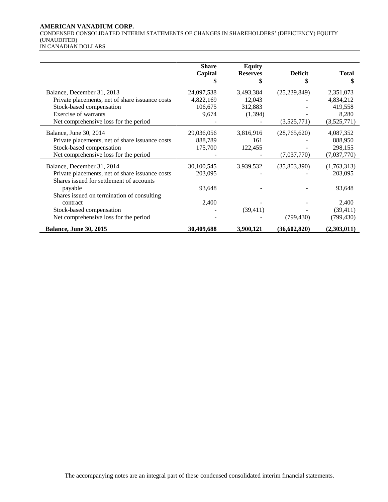#### **AMERICAN VANADIUM CORP.**

CONDENSED CONSOLIDATED INTERIM STATEMENTS OF CHANGES IN SHAREHOLDERS' (DEFICIENCY) EQUITY (UNAUDITED)

IN CANADIAN DOLLARS

|                                                 | <b>Share</b> | <b>Equity</b>   |                |              |
|-------------------------------------------------|--------------|-----------------|----------------|--------------|
|                                                 | Capital      | <b>Reserves</b> | <b>Deficit</b> | <b>Total</b> |
|                                                 |              |                 |                | \$           |
|                                                 |              |                 |                |              |
| Balance, December 31, 2013                      | 24,097,538   | 3,493,384       | (25, 239, 849) | 2,351,073    |
| Private placements, net of share issuance costs | 4,822,169    | 12,043          |                | 4,834,212    |
| Stock-based compensation                        | 106,675      | 312,883         |                | 419,558      |
| Exercise of warrants                            | 9,674        | (1, 394)        |                | 8,280        |
| Net comprehensive loss for the period           |              |                 | (3,525,771)    | (3,525,771)  |
| Balance, June 30, 2014                          | 29,036,056   | 3,816,916       | (28,765,620)   | 4,087,352    |
| Private placements, net of share issuance costs | 888,789      | 161             |                | 888,950      |
| Stock-based compensation                        | 175,700      | 122,455         |                | 298,155      |
| Net comprehensive loss for the period           |              |                 | (7,037,770)    | (7,037,770)  |
|                                                 |              |                 |                |              |
| Balance, December 31, 2014                      | 30,100,545   | 3,939,532       | (35,803,390)   | (1,763,313)  |
| Private placements, net of share issuance costs | 203,095      |                 |                | 203,095      |
| Shares issued for settlement of accounts        |              |                 |                |              |
| payable                                         | 93,648       |                 |                | 93,648       |
| Shares issued on termination of consulting      |              |                 |                |              |
| contract                                        | 2,400        |                 |                | 2,400        |
| Stock-based compensation                        |              | (39, 411)       |                | (39, 411)    |
|                                                 |              |                 |                |              |
| Net comprehensive loss for the period           |              |                 | (799, 430)     | (799, 430)   |
| <b>Balance, June 30, 2015</b>                   | 30,409,688   | 3,900,121       | (36,602,820)   | (2,303,011)  |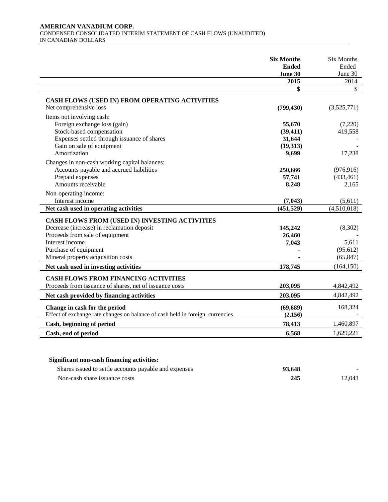#### **AMERICAN VANADIUM CORP.**  CONDENSED CONSOLIDATED INTERIM STATEMENT OF CASH FLOWS (UNAUDITED) IN CANADIAN DOLLARS

|                                                                                                                                                                                                                   | <b>Six Months</b><br><b>Ended</b><br>June 30       | <b>Six Months</b><br>Ended<br>June 30      |
|-------------------------------------------------------------------------------------------------------------------------------------------------------------------------------------------------------------------|----------------------------------------------------|--------------------------------------------|
|                                                                                                                                                                                                                   | 2015                                               | 2014                                       |
|                                                                                                                                                                                                                   | \$                                                 | \$                                         |
| CASH FLOWS (USED IN) FROM OPERATING ACTIVITIES<br>Net comprehensive loss                                                                                                                                          | (799, 430)                                         | (3,525,771)                                |
| Items not involving cash:<br>Foreign exchange loss (gain)<br>Stock-based compensation<br>Expenses settled through issuance of shares<br>Gain on sale of equipment<br>Amortization                                 | 55,670<br>(39, 411)<br>31,644<br>(19,313)<br>9,699 | (7,220)<br>419,558<br>17,238               |
| Changes in non-cash working capital balances:<br>Accounts payable and accrued liabilities<br>Prepaid expenses<br>Amounts receivable                                                                               | 250,666<br>57,741<br>8,248                         | (976, 916)<br>(433, 461)<br>2,165          |
| Non-operating income:<br>Interest income<br>Net cash used in operating activities                                                                                                                                 | (7, 043)<br>(451, 529)                             | (5,611)<br>(4,510,018)                     |
| CASH FLOWS FROM (USED IN) INVESTING ACTIVITIES<br>Decrease (increase) in reclamation deposit<br>Proceeds from sale of equipment<br>Interest income<br>Purchase of equipment<br>Mineral property acquisition costs | 145,242<br>26,460<br>7,043                         | (8,302)<br>5,611<br>(95, 612)<br>(65, 847) |
| Net cash used in investing activities                                                                                                                                                                             | 178,745                                            | (164, 150)                                 |
| <b>CASH FLOWS FROM FINANCING ACTIVITIES</b><br>Proceeds from issuance of shares, net of issuance costs                                                                                                            | 203,095                                            | 4,842,492                                  |
| Net cash provided by financing activities                                                                                                                                                                         | 203,095                                            | 4,842,492                                  |
| Change in cash for the period<br>Effect of exchange rate changes on balance of cash held in foreign currencies                                                                                                    | (69, 689)<br>(2,156)                               | 168,324                                    |
| Cash, beginning of period                                                                                                                                                                                         | 78,413                                             | 1,460,897                                  |
| Cash, end of period                                                                                                                                                                                               | 6,568                                              | 1,629,221                                  |

# **Significant non-cash financing activities:**

| Shares issued to settle accounts payable and expenses | 93,648 |        |
|-------------------------------------------------------|--------|--------|
| Non-cash share issuance costs                         | 245    | 12.043 |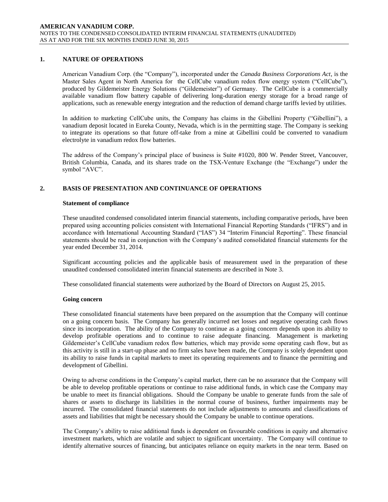# **1. NATURE OF OPERATIONS**

American Vanadium Corp. (the "Company"), incorporated under the *Canada Business Corporations Act*, is the Master Sales Agent in North America for the CellCube vanadium redox flow energy system ("CellCube"), produced by Gildemeister Energy Solutions ("Gildemeister") of Germany. The CellCube is a commercially available vanadium flow battery capable of delivering long-duration energy storage for a broad range of applications, such as renewable energy integration and the reduction of demand charge tariffs levied by utilities.

In addition to marketing CellCube units, the Company has claims in the Gibellini Property ("Gibellini"), a vanadium deposit located in Eureka County, Nevada, which is in the permitting stage. The Company is seeking to integrate its operations so that future off-take from a mine at Gibellini could be converted to vanadium electrolyte in vanadium redox flow batteries.

The address of the Company's principal place of business is Suite #1020, 800 W. Pender Street, Vancouver, British Columbia, Canada, and its shares trade on the TSX-Venture Exchange (the "Exchange") under the symbol "AVC".

# **2. BASIS OF PRESENTATION AND CONTINUANCE OF OPERATIONS**

#### **Statement of compliance**

These unaudited condensed consolidated interim financial statements, including comparative periods, have been prepared using accounting policies consistent with International Financial Reporting Standards ("IFRS") and in accordance with International Accounting Standard ("IAS") 34 "Interim Financial Reporting". These financial statements should be read in conjunction with the Company's audited consolidated financial statements for the year ended December 31, 2014.

Significant accounting policies and the applicable basis of measurement used in the preparation of these unaudited condensed consolidated interim financial statements are described in Note 3.

These consolidated financial statements were authorized by the Board of Directors on August 25, 2015.

#### **Going concern**

These consolidated financial statements have been prepared on the assumption that the Company will continue on a going concern basis. The Company has generally incurred net losses and negative operating cash flows since its incorporation. The ability of the Company to continue as a going concern depends upon its ability to develop profitable operations and to continue to raise adequate financing. Management is marketing Gildemeister's CellCube vanadium redox flow batteries, which may provide some operating cash flow, but as this activity is still in a start-up phase and no firm sales have been made, the Company is solely dependent upon its ability to raise funds in capital markets to meet its operating requirements and to finance the permitting and development of Gibellini.

Owing to adverse conditions in the Company's capital market, there can be no assurance that the Company will be able to develop profitable operations or continue to raise additional funds, in which case the Company may be unable to meet its financial obligations. Should the Company be unable to generate funds from the sale of shares or assets to discharge its liabilities in the normal course of business, further impairments may be incurred. The consolidated financial statements do not include adjustments to amounts and classifications of assets and liabilities that might be necessary should the Company be unable to continue operations.

The Company's ability to raise additional funds is dependent on favourable conditions in equity and alternative investment markets, which are volatile and subject to significant uncertainty. The Company will continue to identify alternative sources of financing, but anticipates reliance on equity markets in the near term. Based on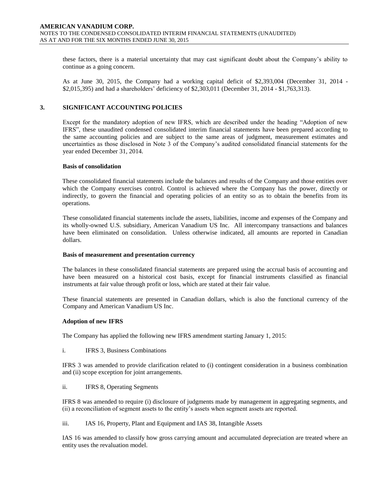these factors, there is a material uncertainty that may cast significant doubt about the Company's ability to continue as a going concern.

As at June 30, 2015, the Company had a working capital deficit of \$2,393,004 (December 31, 2014 - \$2,015,395) and had a shareholders' deficiency of \$2,303,011 (December 31, 2014 - \$1,763,313).

#### **3. SIGNIFICANT ACCOUNTING POLICIES**

Except for the mandatory adoption of new IFRS, which are described under the heading "Adoption of new IFRS", these unaudited condensed consolidated interim financial statements have been prepared according to the same accounting policies and are subject to the same areas of judgment, measurement estimates and uncertainties as those disclosed in Note 3 of the Company's audited consolidated financial statements for the year ended December 31, 2014.

#### **Basis of consolidation**

These consolidated financial statements include the balances and results of the Company and those entities over which the Company exercises control. Control is achieved where the Company has the power, directly or indirectly, to govern the financial and operating policies of an entity so as to obtain the benefits from its operations.

These consolidated financial statements include the assets, liabilities, income and expenses of the Company and its wholly-owned U.S. subsidiary, American Vanadium US Inc. All intercompany transactions and balances have been eliminated on consolidation. Unless otherwise indicated, all amounts are reported in Canadian dollars.

#### **Basis of measurement and presentation currency**

The balances in these consolidated financial statements are prepared using the accrual basis of accounting and have been measured on a historical cost basis, except for financial instruments classified as financial instruments at fair value through profit or loss, which are stated at their fair value.

These financial statements are presented in Canadian dollars, which is also the functional currency of the Company and American Vanadium US Inc.

#### **Adoption of new IFRS**

The Company has applied the following new IFRS amendment starting January 1, 2015:

i. IFRS 3, Business Combinations

IFRS 3 was amended to provide clarification related to (i) contingent consideration in a business combination and (ii) scope exception for joint arrangements.

ii. IFRS 8, Operating Segments

IFRS 8 was amended to require (i) disclosure of judgments made by management in aggregating segments, and (ii) a reconciliation of segment assets to the entity's assets when segment assets are reported.

iii. IAS 16, Property, Plant and Equipment and IAS 38, Intangible Assets

IAS 16 was amended to classify how gross carrying amount and accumulated depreciation are treated where an entity uses the revaluation model.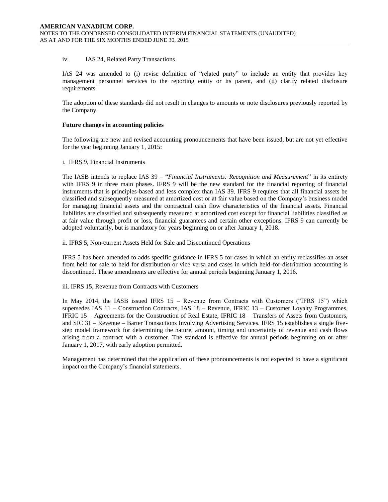#### iv. IAS 24, Related Party Transactions

IAS 24 was amended to (i) revise definition of "related party" to include an entity that provides key management personnel services to the reporting entity or its parent, and (ii) clarify related disclosure requirements.

The adoption of these standards did not result in changes to amounts or note disclosures previously reported by the Company.

#### **Future changes in accounting policies**

The following are new and revised accounting pronouncements that have been issued, but are not yet effective for the year beginning January 1, 2015:

#### i. IFRS 9, Financial Instruments

The IASB intends to replace IAS 39 – "*Financial Instruments: Recognition and Measurement*" in its entirety with IFRS 9 in three main phases. IFRS 9 will be the new standard for the financial reporting of financial instruments that is principles-based and less complex than IAS 39. IFRS 9 requires that all financial assets be classified and subsequently measured at amortized cost or at fair value based on the Company's business model for managing financial assets and the contractual cash flow characteristics of the financial assets. Financial liabilities are classified and subsequently measured at amortized cost except for financial liabilities classified as at fair value through profit or loss, financial guarantees and certain other exceptions. IFRS 9 can currently be adopted voluntarily, but is mandatory for years beginning on or after January 1, 2018.

ii. IFRS 5, Non-current Assets Held for Sale and Discontinued Operations

IFRS 5 has been amended to adds specific guidance in IFRS 5 for cases in which an entity reclassifies an asset from held for sale to held for distribution or vice versa and cases in which held-for-distribution accounting is discontinued. These amendments are effective for annual periods beginning January 1, 2016.

iii. IFRS 15, Revenue from Contracts with Customers

In May 2014, the IASB issued IFRS 15 – Revenue from Contracts with Customers ("IFRS 15") which supersedes IAS 11 – Construction Contracts, IAS 18 – Revenue, IFRIC 13 – Customer Loyalty Programmes, IFRIC 15 – Agreements for the Construction of Real Estate, IFRIC 18 – Transfers of Assets from Customers, and SIC 31 – Revenue – Barter Transactions Involving Advertising Services. IFRS 15 establishes a single fivestep model framework for determining the nature, amount, timing and uncertainty of revenue and cash flows arising from a contract with a customer. The standard is effective for annual periods beginning on or after January 1, 2017, with early adoption permitted.

Management has determined that the application of these pronouncements is not expected to have a significant impact on the Company's financial statements.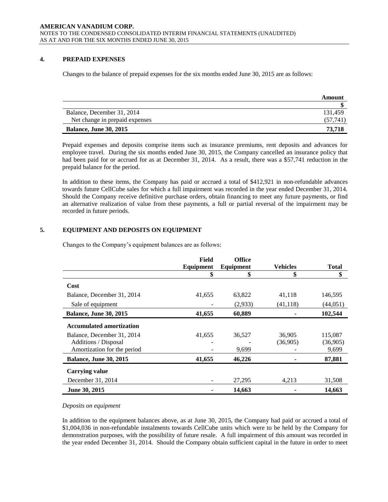# **4. PREPAID EXPENSES**

Changes to the balance of prepaid expenses for the six months ended June 30, 2015 are as follows:

|                                | Amount    |
|--------------------------------|-----------|
|                                |           |
| Balance, December 31, 2014     | 131.459   |
| Net change in prepaid expenses | (57, 741) |
| <b>Balance, June 30, 2015</b>  | 73.718    |

Prepaid expenses and deposits comprise items such as insurance premiums, rent deposits and advances for employee travel. During the six months ended June 30, 2015, the Company cancelled an insurance policy that had been paid for or accrued for as at December 31, 2014. As a result, there was a \$57,741 reduction in the prepaid balance for the period.

In addition to these items, the Company has paid or accrued a total of \$412,921 in non-refundable advances towards future CellCube sales for which a full impairment was recorded in the year ended December 31, 2014. Should the Company receive definitive purchase orders, obtain financing to meet any future payments, or find an alternative realization of value from these payments, a full or partial reversal of the impairment may be recorded in future periods.

# **5. EQUIPMENT AND DEPOSITS ON EQUIPMENT**

Changes to the Company's equipment balances are as follows:

|                                 | Field     | <b>Office</b>    |                 |              |
|---------------------------------|-----------|------------------|-----------------|--------------|
|                                 | Equipment | <b>Equipment</b> | <b>Vehicles</b> | <b>Total</b> |
|                                 | \$        | \$               | \$              | \$           |
| Cost                            |           |                  |                 |              |
| Balance, December 31, 2014      | 41,655    | 63,822           | 41,118          | 146,595      |
| Sale of equipment               |           | (2,933)          | (41, 118)       | (44, 051)    |
| <b>Balance, June 30, 2015</b>   | 41,655    | 60,889           |                 | 102,544      |
| <b>Accumulated amortization</b> |           |                  |                 |              |
| Balance, December 31, 2014      | 41,655    | 36,527           | 36,905          | 115,087      |
| Additions / Disposal            |           |                  | (36,905)        | (36,905)     |
| Amortization for the period     |           | 9,699            |                 | 9,699        |
| <b>Balance, June 30, 2015</b>   | 41,655    | 46,226           |                 | 87,881       |
| <b>Carrying value</b>           |           |                  |                 |              |
| December 31, 2014               |           | 27,295           | 4,213           | 31,508       |
| June 30, 2015                   |           | 14,663           |                 | 14,663       |

#### *Deposits on equipment*

In addition to the equipment balances above, as at June 30, 2015, the Company had paid or accrued a total of \$1,004,036 in non-refundable instalments towards CellCube units which were to be held by the Company for demonstration purposes, with the possibility of future resale. A full impairment of this amount was recorded in the year ended December 31, 2014. Should the Company obtain sufficient capital in the future in order to meet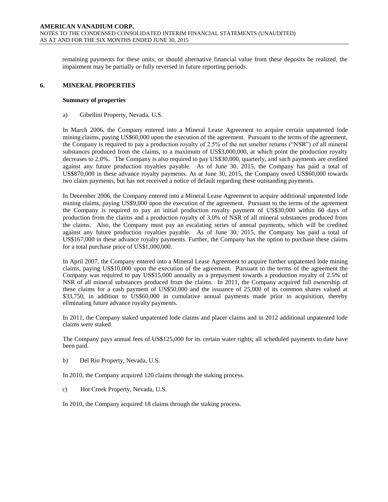remaining payments for these units, or should alternative financial value from these deposits be realized, the impairment may be partially or fully reversed in future reporting periods.

#### **6. MINERAL PROPERTIES**

#### **Summary of properties**

a) Gibellini Property, Nevada, U.S.

In March 2006, the Company entered into a Mineral Lease Agreement to acquire certain unpatented lode mining claims, paying US\$60,000 upon the execution of the agreement. Pursuant to the terms of the agreement, the Company is required to pay a production royalty of 2.5% of the net smelter returns ("NSR") of all mineral substances produced from the claims, to a maximum of US\$3,000,000, at which point the production royalty decreases to 2.0%. The Company is also required to pay US\$30,000, quarterly, and such payments are credited against any future production royalties payable. As of June 30, 2015, the Company has paid a total of US\$870,000 in these advance royalty payments. As at June 30, 2015, the Company owed US\$60,000 towards two claim payments, but has not received a notice of default regarding these outstanding payments.

In December 2006, the Company entered into a Mineral Lease Agreement to acquire additional unpatented lode mining claims, paying US\$9,000 upon the execution of the agreement. Pursuant to the terms of the agreement the Company is required to pay an initial production royalty payment of US\$30,000 within 60 days of production from the claims and a production royalty of 3.0% of NSR of all mineral substances produced from the claims. Also, the Company must pay an escalating series of annual payments, which will be credited against any future production royalties payable. As of June 30, 2015, the Company has paid a total of US\$167,000 in these advance royalty payments. Further, the Company has the option to purchase these claims for a total purchase price of US\$1,000,000.

In April 2007, the Company entered into a Mineral Lease Agreement to acquire further unpatented lode mining claims, paying US\$10,000 upon the execution of the agreement. Pursuant to the terms of the agreement the Company was required to pay US\$15,000 annually as a prepayment towards a production royalty of 2.5% of NSR of all mineral substances produced from the claims. In 2011, the Company acquired full ownership of these claims for a cash payment of US\$50,000 and the issuance of 25,000 of its common shares valued at \$33,750, in addition to US\$60,000 in cumulative annual payments made prior to acquisition, thereby eliminating future advance royalty payments.

In 2011, the Company staked unpatented lode claims and placer claims and in 2012 additional unpatented lode claims were staked.

The Company pays annual fees of US\$125,000 for its certain water rights; all scheduled payments to date have been paid.

b) Del Rio Property, Nevada, U.S.

In 2010, the Company acquired 120 claims through the staking process.

c) Hot Creek Property, Nevada, U.S.

In 2010, the Company acquired 18 claims through the staking process.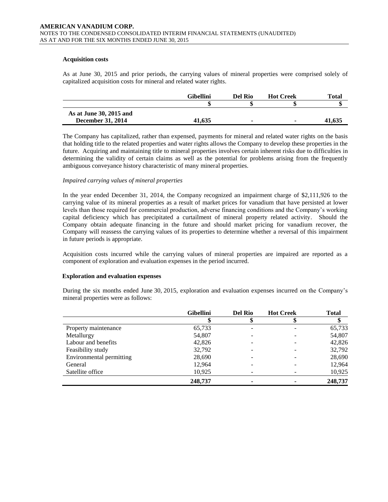#### **Acquisition costs**

As at June 30, 2015 and prior periods, the carrying values of mineral properties were comprised solely of capitalized acquisition costs for mineral and related water rights.

|                         | Gibellini | Del Rio        | <b>Hot Creek</b> | Total  |
|-------------------------|-----------|----------------|------------------|--------|
|                         |           |                |                  |        |
| As at June 30, 2015 and |           |                |                  |        |
| December 31, 2014       | 41,635    | $\blacksquare$ |                  | 41.635 |

The Company has capitalized, rather than expensed, payments for mineral and related water rights on the basis that holding title to the related properties and water rights allows the Company to develop these properties in the future. Acquiring and maintaining title to mineral properties involves certain inherent risks due to difficulties in determining the validity of certain claims as well as the potential for problems arising from the frequently ambiguous conveyance history characteristic of many mineral properties.

#### *Impaired carrying values of mineral properties*

In the year ended December 31, 2014, the Company recognized an impairment charge of \$2,111,926 to the carrying value of its mineral properties as a result of market prices for vanadium that have persisted at lower levels than those required for commercial production, adverse financing conditions and the Company's working capital deficiency which has precipitated a curtailment of mineral property related activity. Should the Company obtain adequate financing in the future and should market pricing for vanadium recover, the Company will reassess the carrying values of its properties to determine whether a reversal of this impairment in future periods is appropriate.

Acquisition costs incurred while the carrying values of mineral properties are impaired are reported as a component of exploration and evaluation expenses in the period incurred.

#### **Exploration and evaluation expenses**

During the six months ended June 30, 2015, exploration and evaluation expenses incurred on the Company's mineral properties were as follows:

|                          | <b>Gibellini</b> | <b>Del Rio</b> | <b>Hot Creek</b> | <b>Total</b> |
|--------------------------|------------------|----------------|------------------|--------------|
|                          |                  |                |                  |              |
| Property maintenance     | 65,733           |                |                  | 65,733       |
| Metallurgy               | 54,807           |                |                  | 54,807       |
| Labour and benefits      | 42,826           |                |                  | 42,826       |
| Feasibility study        | 32,792           |                |                  | 32,792       |
| Environmental permitting | 28,690           |                |                  | 28,690       |
| General                  | 12,964           |                |                  | 12,964       |
| Satellite office         | 10,925           |                |                  | 10,925       |
|                          | 248,737          |                |                  | 248,737      |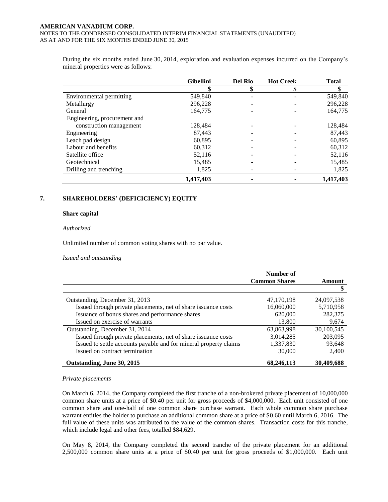During the six months ended June 30, 2014, exploration and evaluation expenses incurred on the Company's mineral properties were as follows:

|                              | <b>Gibellini</b> | <b>Del Rio</b> | <b>Hot Creek</b> | <b>Total</b> |
|------------------------------|------------------|----------------|------------------|--------------|
|                              | \$               | \$             | S                |              |
| Environmental permitting     | 549,840          |                |                  | 549,840      |
| Metallurgy                   | 296,228          |                |                  | 296,228      |
| General                      | 164,775          |                |                  | 164,775      |
| Engineering, procurement and |                  |                |                  |              |
| construction management      | 128,484          |                |                  | 128,484      |
| Engineering                  | 87,443           |                |                  | 87,443       |
| Leach pad design             | 60,895           |                |                  | 60,895       |
| Labour and benefits          | 60,312           |                |                  | 60,312       |
| Satellite office             | 52,116           |                |                  | 52,116       |
| Geotechnical                 | 15,485           |                |                  | 15,485       |
| Drilling and trenching       | 1,825            |                |                  | 1,825        |
|                              | 1,417,403        |                |                  | 1,417,403    |

# **7. SHAREHOLDERS' (DEFICICIENCY) EQUITY**

#### **Share capital**

#### *Authorized*

Unlimited number of common voting shares with no par value.

#### *Issued and outstanding*

|                                                                   | Number of<br><b>Common Shares</b> | Amount     |
|-------------------------------------------------------------------|-----------------------------------|------------|
|                                                                   |                                   | S          |
|                                                                   |                                   |            |
| Outstanding, December 31, 2013                                    | 47,170,198                        | 24,097,538 |
| Issued through private placements, net of share issuance costs    | 16,060,000                        | 5,710,958  |
| Issuance of bonus shares and performance shares                   | 620,000                           | 282,375    |
| Issued on exercise of warrants                                    | 13,800                            | 9,674      |
| Outstanding, December 31, 2014                                    | 63,863,998                        | 30,100,545 |
| Issued through private placements, net of share issuance costs    | 3,014,285                         | 203,095    |
| Issued to settle accounts payable and for mineral property claims | 1,337,830                         | 93,648     |
| Issued on contract termination                                    | 30,000                            | 2,400      |
| Outstanding, June 30, 2015                                        | 68,246,113                        | 30,409,688 |

#### *Private placements*

On March 6, 2014, the Company completed the first tranche of a non-brokered private placement of 10,000,000 common share units at a price of \$0.40 per unit for gross proceeds of \$4,000,000. Each unit consisted of one common share and one-half of one common share purchase warrant. Each whole common share purchase warrant entitles the holder to purchase an additional common share at a price of \$0.60 until March 6, 2016. The full value of these units was attributed to the value of the common shares. Transaction costs for this tranche, which include legal and other fees, totalled \$84,629.

On May 8, 2014, the Company completed the second tranche of the private placement for an additional 2,500,000 common share units at a price of \$0.40 per unit for gross proceeds of \$1,000,000. Each unit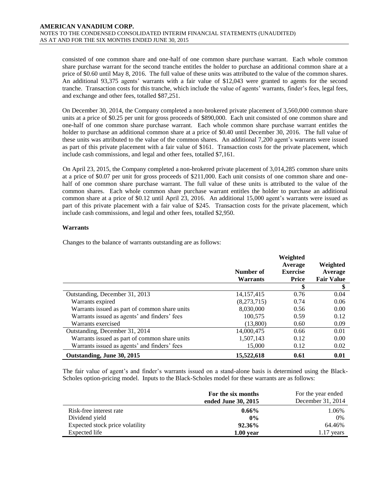consisted of one common share and one-half of one common share purchase warrant. Each whole common share purchase warrant for the second tranche entitles the holder to purchase an additional common share at a price of \$0.60 until May 8, 2016. The full value of these units was attributed to the value of the common shares. An additional 93,375 agents' warrants with a fair value of \$12,043 were granted to agents for the second tranche. Transaction costs for this tranche, which include the value of agents' warrants, finder's fees, legal fees, and exchange and other fees, totalled \$87,251.

On December 30, 2014, the Company completed a non-brokered private placement of 3,560,000 common share units at a price of \$0.25 per unit for gross proceeds of \$890,000. Each unit consisted of one common share and one-half of one common share purchase warrant. Each whole common share purchase warrant entitles the holder to purchase an additional common share at a price of \$0.40 until December 30, 2016. The full value of these units was attributed to the value of the common shares. An additional 7,200 agent's warrants were issued as part of this private placement with a fair value of \$161. Transaction costs for the private placement, which include cash commissions, and legal and other fees, totalled \$7,161.

On April 23, 2015, the Company completed a non-brokered private placement of 3,014,285 common share units at a price of \$0.07 per unit for gross proceeds of \$211,000. Each unit consists of one common share and onehalf of one common share purchase warrant. The full value of these units is attributed to the value of the common shares. Each whole common share purchase warrant entitles the holder to purchase an additional common share at a price of \$0.12 until April 23, 2016. An additional 15,000 agent's warrants were issued as part of this private placement with a fair value of \$245. Transaction costs for the private placement, which include cash commissions, and legal and other fees, totalled \$2,950.

#### **Warrants**

Changes to the balance of warrants outstanding are as follows:

|                                               | Number of<br><b>Warrants</b> | Weighted<br>Average<br><b>Exercise</b><br><b>Price</b> | Weighted<br>Average<br><b>Fair Value</b> |
|-----------------------------------------------|------------------------------|--------------------------------------------------------|------------------------------------------|
|                                               |                              | \$                                                     | \$                                       |
| Outstanding, December 31, 2013                | 14, 157, 415                 | 0.76                                                   | 0.04                                     |
| Warrants expired                              | (8,273,715)                  | 0.74                                                   | 0.06                                     |
| Warrants issued as part of common share units | 8.030.000                    | 0.56                                                   | 0.00                                     |
| Warrants issued as agents' and finders' fees  | 100,575                      | 0.59                                                   | 0.12                                     |
| Warrants exercised                            | (13,800)                     | 0.60                                                   | 0.09                                     |
| Outstanding, December 31, 2014                | 14,000,475                   | 0.66                                                   | 0.01                                     |
| Warrants issued as part of common share units | 1,507,143                    | 0.12                                                   | 0.00                                     |
| Warrants issued as agents' and finders' fees  | 15,000                       | 0.12                                                   | 0.02                                     |
| Outstanding, June 30, 2015                    | 15,522,618                   | 0.61                                                   | 0.01                                     |

The fair value of agent's and finder's warrants issued on a stand-alone basis is determined using the Black-Scholes option-pricing model. Inputs to the Black-Scholes model for these warrants are as follows:

|                                 | For the six months<br>ended June 30, 2015 | For the year ended<br>December 31, 2014 |
|---------------------------------|-------------------------------------------|-----------------------------------------|
| Risk-free interest rate         | $0.66\%$                                  | 1.06%                                   |
| Dividend yield                  | $0\%$                                     | 0%                                      |
| Expected stock price volatility | 92.36%                                    | 64.46%                                  |
| Expected life                   | $1.00$ year                               | 1.17 years                              |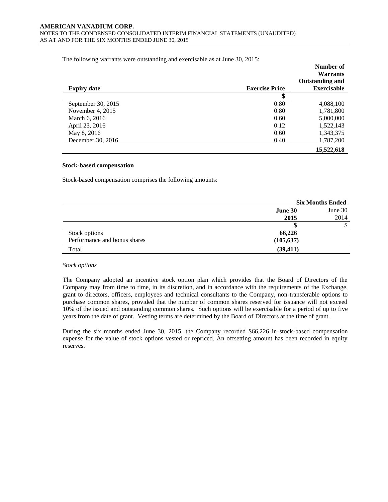The following warrants were outstanding and exercisable as at June 30, 2015:

| <b>Expiry date</b>   | <b>Exercise Price</b> | Number of<br><b>Warrants</b><br><b>Outstanding and</b><br><b>Exercisable</b> |
|----------------------|-----------------------|------------------------------------------------------------------------------|
|                      | \$                    |                                                                              |
| September 30, $2015$ | 0.80                  | 4,088,100                                                                    |
| November 4, $2015$   | 0.80                  | 1,781,800                                                                    |
| March 6, 2016        | 0.60                  | 5,000,000                                                                    |
| April 23, 2016       | 0.12                  | 1,522,143                                                                    |
| May 8, 2016          | 0.60                  | 1,343,375                                                                    |
| December 30, 2016    | 0.40                  | 1,787,200                                                                    |
|                      |                       | 15,522,618                                                                   |

#### **Stock-based compensation**

Stock-based compensation comprises the following amounts:

|                              | <b>Six Months Ended</b> |         |  |
|------------------------------|-------------------------|---------|--|
|                              | June 30                 | June 30 |  |
|                              | 2015                    | 2014    |  |
|                              |                         |         |  |
| Stock options                | 66,226                  |         |  |
| Performance and bonus shares | (105, 637)              |         |  |
| Total                        | (39, 411)               |         |  |

# *Stock options*

The Company adopted an incentive stock option plan which provides that the Board of Directors of the Company may from time to time, in its discretion, and in accordance with the requirements of the Exchange, grant to directors, officers, employees and technical consultants to the Company, non-transferable options to purchase common shares, provided that the number of common shares reserved for issuance will not exceed 10% of the issued and outstanding common shares. Such options will be exercisable for a period of up to five years from the date of grant. Vesting terms are determined by the Board of Directors at the time of grant.

During the six months ended June 30, 2015, the Company recorded \$66,226 in stock-based compensation expense for the value of stock options vested or repriced. An offsetting amount has been recorded in equity reserves.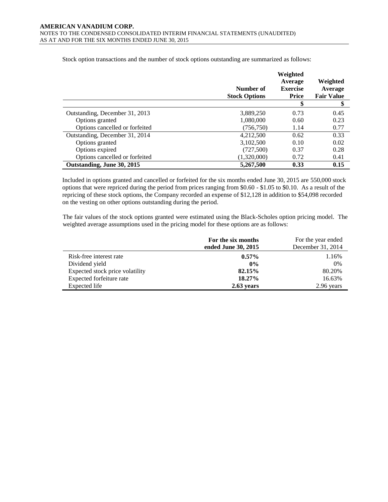|                                | Number of<br><b>Stock Options</b> | Weighted<br>Average<br><b>Exercise</b><br>Price | Weighted<br>Average<br><b>Fair Value</b> |
|--------------------------------|-----------------------------------|-------------------------------------------------|------------------------------------------|
|                                |                                   | \$                                              | \$                                       |
| Outstanding, December 31, 2013 | 3,889,250                         | 0.73                                            | 0.45                                     |
| Options granted                | 1,080,000                         | 0.60                                            | 0.23                                     |
| Options cancelled or forfeited | (756, 750)                        | 1.14                                            | 0.77                                     |
| Outstanding, December 31, 2014 | 4,212,500                         | 0.62                                            | 0.33                                     |
| Options granted                | 3,102,500                         | 0.10                                            | 0.02                                     |
| Options expired                | (727,500)                         | 0.37                                            | 0.28                                     |
| Options cancelled or forfeited | (1,320,000)                       | 0.72                                            | 0.41                                     |
| Outstanding, June 30, 2015     | 5,267,500                         | 0.33                                            | 0.15                                     |

Stock option transactions and the number of stock options outstanding are summarized as follows:

Included in options granted and cancelled or forfeited for the six months ended June 30, 2015 are 550,000 stock options that were repriced during the period from prices ranging from \$0.60 - \$1.05 to \$0.10. As a result of the repricing of these stock options, the Company recorded an expense of \$12,128 in addition to \$54,098 recorded on the vesting on other options outstanding during the period.

The fair values of the stock options granted were estimated using the Black-Scholes option pricing model. The weighted average assumptions used in the pricing model for these options are as follows:

|                                 | For the six months<br>ended June 30, 2015 | For the year ended<br>December 31, 2014 |
|---------------------------------|-------------------------------------------|-----------------------------------------|
| Risk-free interest rate         | $0.57\%$                                  | 1.16%                                   |
| Dividend yield                  | $0\%$                                     | 0%                                      |
| Expected stock price volatility | 82.15%                                    | 80.20%                                  |
| Expected forfeiture rate        | $18.27\%$                                 | 16.63%                                  |
| Expected life                   | $2.63$ years                              | 2.96 years                              |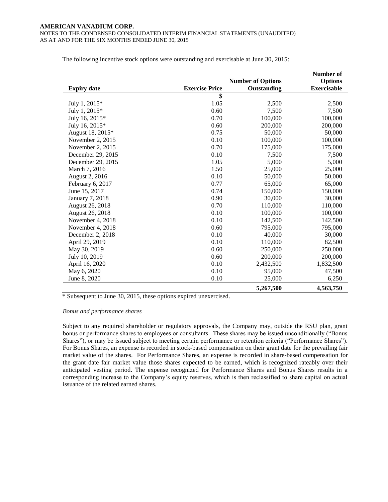|                    |                       |                          | Number of          |
|--------------------|-----------------------|--------------------------|--------------------|
|                    |                       | <b>Number of Options</b> | <b>Options</b>     |
| <b>Expiry date</b> | <b>Exercise Price</b> | Outstanding              | <b>Exercisable</b> |
|                    | \$                    |                          |                    |
| July 1, 2015*      | 1.05                  | 2,500                    | 2,500              |
| July 1, 2015*      | 0.60                  | 7,500                    | 7,500              |
| July 16, 2015*     | 0.70                  | 100,000                  | 100,000            |
| July 16, 2015*     | 0.60                  | 200,000                  | 200,000            |
| August 18, 2015*   | 0.75                  | 50,000                   | 50,000             |
| November 2, 2015   | 0.10                  | 100,000                  | 100,000            |
| November 2, 2015   | 0.70                  | 175,000                  | 175,000            |
| December 29, 2015  | 0.10                  | 7,500                    | 7,500              |
| December 29, 2015  | 1.05                  | 5,000                    | 5,000              |
| March 7, 2016      | 1.50                  | 25,000                   | 25,000             |
| August 2, 2016     | 0.10                  | 50,000                   | 50,000             |
| February 6, 2017   | 0.77                  | 65,000                   | 65,000             |
| June 15, 2017      | 0.74                  | 150,000                  | 150,000            |
| January 7, 2018    | 0.90                  | 30,000                   | 30,000             |
| August 26, 2018    | 0.70                  | 110,000                  | 110,000            |
| August 26, 2018    | 0.10                  | 100,000                  | 100,000            |
| November 4, 2018   | 0.10                  | 142,500                  | 142,500            |
| November 4, 2018   | 0.60                  | 795,000                  | 795,000            |
| December 2, 2018   | 0.10                  | 40,000                   | 30,000             |
| April 29, 2019     | 0.10                  | 110,000                  | 82,500             |
| May 30, 2019       | 0.60                  | 250,000                  | 250,000            |
| July 10, 2019      | 0.60                  | 200,000                  | 200,000            |
| April 16, 2020     | 0.10                  | 2,432,500                | 1,832,500          |
| May 6, 2020        | 0.10                  | 95,000                   | 47,500             |
| June 8, 2020       | 0.10                  | 25,000                   | 6,250              |
|                    |                       | 5,267,500                | 4,563,750          |

The following incentive stock options were outstanding and exercisable at June 30, 2015:

\* Subsequent to June 30, 2015, these options expired unexercised.

#### *Bonus and performance shares*

Subject to any required shareholder or regulatory approvals, the Company may, outside the RSU plan, grant bonus or performance shares to employees or consultants. These shares may be issued unconditionally ("Bonus Shares"), or may be issued subject to meeting certain performance or retention criteria ("Performance Shares"). For Bonus Shares, an expense is recorded in stock-based compensation on their grant date for the prevailing fair market value of the shares. For Performance Shares, an expense is recorded in share-based compensation for the grant date fair market value those shares expected to be earned, which is recognized rateably over their anticipated vesting period. The expense recognized for Performance Shares and Bonus Shares results in a corresponding increase to the Company's equity reserves, which is then reclassified to share capital on actual issuance of the related earned shares.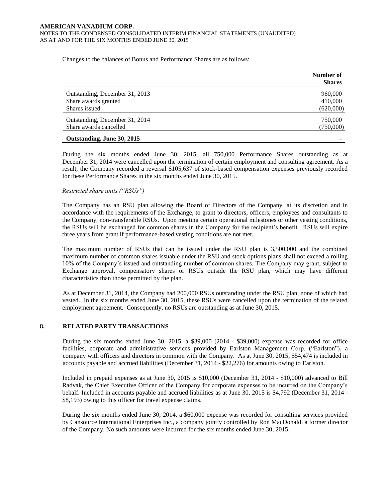Changes to the balances of Bonus and Performance Shares are as follows:

|                                | Number of<br><b>Shares</b> |
|--------------------------------|----------------------------|
| Outstanding, December 31, 2013 | 960,000                    |
| Share awards granted           | 410,000                    |
| Shares issued                  | (620,000)                  |
| Outstanding, December 31, 2014 | 750,000                    |
| Share awards cancelled         | (750,000)                  |
| Outstanding, June 30, 2015     |                            |

During the six months ended June 30, 2015, all 750,000 Performance Shares outstanding as at December 31, 2014 were cancelled upon the termination of certain employment and consulting agreement. As a result, the Company recorded a reversal \$105,637 of stock-based compensation expenses previously recorded for these Performance Shares in the six months ended June 30, 2015.

#### *Restricted share units ("RSUs")*

The Company has an RSU plan allowing the Board of Directors of the Company, at its discretion and in accordance with the requirements of the Exchange, to grant to directors, officers, employees and consultants to the Company, non-transferable RSUs. Upon meeting certain operational milestones or other vesting conditions, the RSUs will be exchanged for common shares in the Company for the recipient's benefit. RSUs will expire three years from grant if performance-based vesting conditions are not met.

The maximum number of RSUs that can be issued under the RSU plan is 3,500,000 and the combined maximum number of common shares issuable under the RSU and stock options plans shall not exceed a rolling 10% of the Company's issued and outstanding number of common shares. The Company may grant, subject to Exchange approval, compensatory shares or RSUs outside the RSU plan, which may have different characteristics than those permitted by the plan.

As at December 31, 2014, the Company had 200,000 RSUs outstanding under the RSU plan, none of which had vested. In the six months ended June 30, 2015, these RSUs were cancelled upon the termination of the related employment agreement. Consequently, no RSUs are outstanding as at June 30, 2015.

# **8. RELATED PARTY TRANSACTIONS**

During the six months ended June 30, 2015, a \$39,000 (2014 - \$39,000) expense was recorded for office facilities, corporate and administrative services provided by Earlston Management Corp. ("Earlston"), a company with officers and directors in common with the Company. As at June 30, 2015, \$54,474 is included in accounts payable and accrued liabilities (December 31, 2014 - \$22,276) for amounts owing to Earlston.

Included in prepaid expenses as at June 30, 2015 is \$10,000 (December 31, 2014 - \$10,000) advanced to Bill Radvak, the Chief Executive Officer of the Company for corporate expenses to be incurred on the Company's behalf. Included in accounts payable and accrued liabilities as at June 30, 2015 is \$4,792 (December 31, 2014 - \$8,193) owing to this officer for travel expense claims.

During the six months ended June 30, 2014, a \$60,000 expense was recorded for consulting services provided by Cansource International Enterprises Inc., a company jointly controlled by Ron MacDonald, a former director of the Company. No such amounts were incurred for the six months ended June 30, 2015.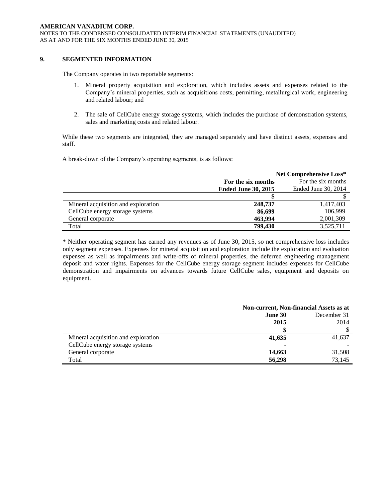# **9. SEGMENTED INFORMATION**

The Company operates in two reportable segments:

- 1. Mineral property acquisition and exploration, which includes assets and expenses related to the Company's mineral properties, such as acquisitions costs, permitting, metallurgical work, engineering and related labour; and
- 2. The sale of CellCube energy storage systems, which includes the purchase of demonstration systems, sales and marketing costs and related labour.

While these two segments are integrated, they are managed separately and have distinct assets, expenses and staff.

A break-down of the Company's operating segments, is as follows:

|                                     | <b>Net Comprehensive Loss*</b> |                     |  |
|-------------------------------------|--------------------------------|---------------------|--|
|                                     | For the six months             | For the six months  |  |
|                                     | <b>Ended June 30, 2015</b>     | Ended June 30, 2014 |  |
|                                     |                                |                     |  |
| Mineral acquisition and exploration | 248,737                        | 1,417,403           |  |
| CellCube energy storage systems     | 86,699                         | 106,999             |  |
| General corporate                   | 463.994                        | 2,001,309           |  |
| Total                               | 799,430                        | 3,525,711           |  |

\* Neither operating segment has earned any revenues as of June 30, 2015, so net comprehensive loss includes only segment expenses. Expenses for mineral acquisition and exploration include the exploration and evaluation expenses as well as impairments and write-offs of mineral properties, the deferred engineering management deposit and water rights. Expenses for the CellCube energy storage segment includes expenses for CellCube demonstration and impairments on advances towards future CellCube sales, equipment and deposits on equipment.

|                                     | <b>Non-current, Non-financial Assets as at</b> |             |  |
|-------------------------------------|------------------------------------------------|-------------|--|
|                                     | June 30                                        | December 31 |  |
|                                     | 2015                                           | 2014        |  |
|                                     |                                                |             |  |
| Mineral acquisition and exploration | 41,635                                         | 41,637      |  |
| CellCube energy storage systems     | ۰                                              |             |  |
| General corporate                   | 14,663                                         | 31,508      |  |
| Total                               | 56,298                                         | 73.145      |  |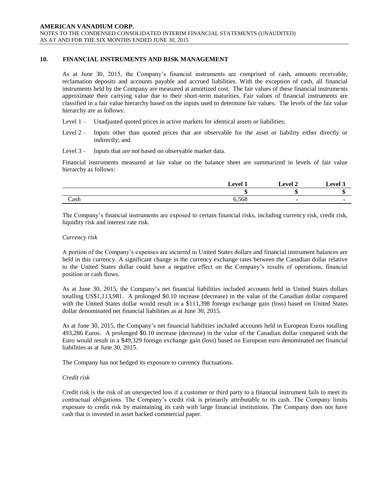# **10. FINANCIAL INSTRUMENTS AND RISK MANAGEMENT**

As at June 30, 2015, the Company's financial instruments are comprised of cash, amounts receivable, reclamation deposits and accounts payable and accrued liabilities. With the exception of cash, all financial instruments held by the Company are measured at amortized cost. The fair values of these financial instruments approximate their carrying value due to their short-term maturities. Fair values of financial instruments are classified in a fair value hierarchy based on the inputs used to determine fair values. The levels of the fair value hierarchy are as follows:

- Level 1 Unadjusted quoted prices in active markets for identical assets or liabilities;
- Level 2 Inputs other than quoted prices that are observable for the asset or liability either directly or indirectly; and
- Level 3 Inputs that are not based on observable market data.

Financial instruments measured at fair value on the balance sheet are summarized in levels of fair value hierarchy as follows:

|      | 1 امته ا | <b>Level 2</b> | $_{\rm evel}$ 2 |
|------|----------|----------------|-----------------|
|      | w        | мσ             |                 |
| Cash | 6,568    |                |                 |

The Company's financial instruments are exposed to certain financial risks, including currency risk, credit risk, liquidity risk and interest rate risk.

#### *Currency risk*

A portion of the Company's expenses are incurred in United States dollars and financial instrument balances are held in this currency. A significant change in the currency exchange rates between the Canadian dollar relative to the United States dollar could have a negative effect on the Company's results of operations, financial position or cash flows.

As at June 30, 2015, the Company's net financial liabilities included accounts held in United States dollars totalling US\$1,113,981. A prolonged \$0.10 increase (decrease) in the value of the Canadian dollar compared with the United States dollar would result in a \$111,398 foreign exchange gain (loss) based on United States dollar denominated net financial liabilities as at June 30, 2015.

As at June 30, 2015, the Company's net financial liabilities included accounts held in European Euros totalling 493,286 Euros. A prolonged \$0.10 increase (decrease) in the value of the Canadian dollar compared with the Euro would result in a \$49,329 foreign exchange gain (loss) based on European euro denominated net financial liabilities as at June 30, 2015.

The Company has not hedged its exposure to currency fluctuations.

# *Credit risk*

Credit risk is the risk of an unexpected loss if a customer or third party to a financial instrument fails to meet its contractual obligations. The Company's credit risk is primarily attributable to its cash. The Company limits exposure to credit risk by maintaining its cash with large financial institutions. The Company does not have cash that is invested in asset backed commercial paper.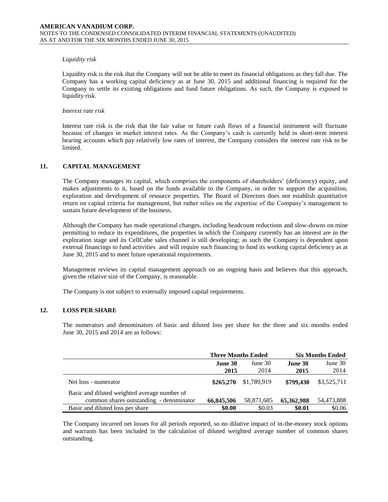#### *Liquidity risk*

Liquidity risk is the risk that the Company will not be able to meet its financial obligations as they fall due. The Company has a working capital deficiency as at June 30, 2015 and additional financing is required for the Company to settle its existing obligations and fund future obligations. As such, the Company is exposed to liquidity risk.

#### *Interest rate risk*

Interest rate risk is the risk that the fair value or future cash flows of a financial instrument will fluctuate because of changes in market interest rates. As the Company's cash is currently held in short-term interest bearing accounts which pay relatively low rates of interest, the Company considers the interest rate risk to be limited.

# **11. CAPITAL MANAGEMENT**

The Company manages its capital, which comprises the components of shareholders' (deficiency) equity, and makes adjustments to it, based on the funds available to the Company, in order to support the acquisition, exploration and development of resource properties. The Board of Directors does not establish quantitative return on capital criteria for management, but rather relies on the expertise of the Company's management to sustain future development of the business.

Although the Company has made operational changes, including headcount reductions and slow-downs on mine permitting to reduce its expenditures, the properties in which the Company currently has an interest are in the exploration stage and its CellCube sales channel is still developing; as such the Company is dependent upon external financings to fund activities and will require such financing to fund its working capital deficiency as at June 30, 2015 and to meet future operational requirements.

Management reviews its capital management approach on an ongoing basis and believes that this approach, given the relative size of the Company, is reasonable.

The Company is not subject to externally imposed capital requirements.

# **12. LOSS PER SHARE**

The numerators and denominators of basic and diluted loss per share for the three and six months ended June 30, 2015 and 2014 are as follows:

|                                              | <b>Three Months Ended</b> |             | <b>Six Months Ended</b> |             |
|----------------------------------------------|---------------------------|-------------|-------------------------|-------------|
|                                              | June 30                   | June $301$  | June 30                 | June 30     |
|                                              | 2015                      | 2014        | 2015                    | 2014        |
| Net loss - numerator                         | \$265,270                 | \$1,789,919 | \$799,430               | \$3,525,711 |
| Basic and diluted weighted average number of |                           |             |                         |             |
| common shares outstanding - denominator      | 66,845,506                | 58,871,685  | 65,362,988              | 54,473,888  |
| Basic and diluted loss per share             | \$0.00                    | \$0.03      | \$0.01                  | \$0.06      |

The Company incurred net losses for all periods reported, so no dilutive impact of in-the-money stock options and warrants has been included in the calculation of diluted weighted average number of common shares outstanding.